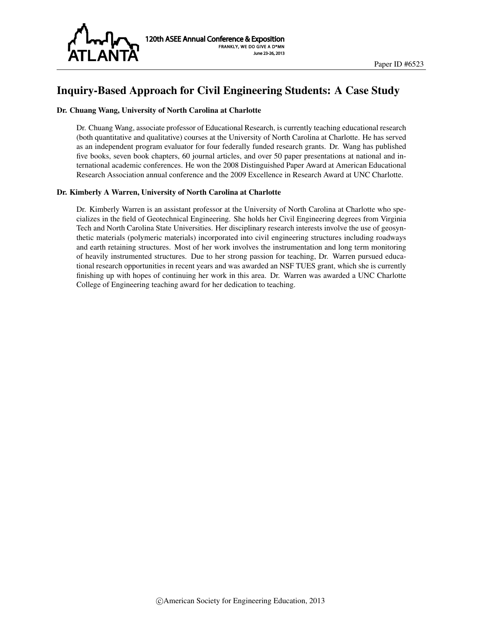

# Inquiry-Based Approach for Civil Engineering Students: A Case Study

#### Dr. Chuang Wang, University of North Carolina at Charlotte

Dr. Chuang Wang, associate professor of Educational Research, is currently teaching educational research (both quantitative and qualitative) courses at the University of North Carolina at Charlotte. He has served as an independent program evaluator for four federally funded research grants. Dr. Wang has published five books, seven book chapters, 60 journal articles, and over 50 paper presentations at national and international academic conferences. He won the 2008 Distinguished Paper Award at American Educational Research Association annual conference and the 2009 Excellence in Research Award at UNC Charlotte.

#### Dr. Kimberly A Warren, University of North Carolina at Charlotte

Dr. Kimberly Warren is an assistant professor at the University of North Carolina at Charlotte who specializes in the field of Geotechnical Engineering. She holds her Civil Engineering degrees from Virginia Tech and North Carolina State Universities. Her disciplinary research interests involve the use of geosynthetic materials (polymeric materials) incorporated into civil engineering structures including roadways and earth retaining structures. Most of her work involves the instrumentation and long term monitoring of heavily instrumented structures. Due to her strong passion for teaching, Dr. Warren pursued educational research opportunities in recent years and was awarded an NSF TUES grant, which she is currently finishing up with hopes of continuing her work in this area. Dr. Warren was awarded a UNC Charlotte College of Engineering teaching award for her dedication to teaching.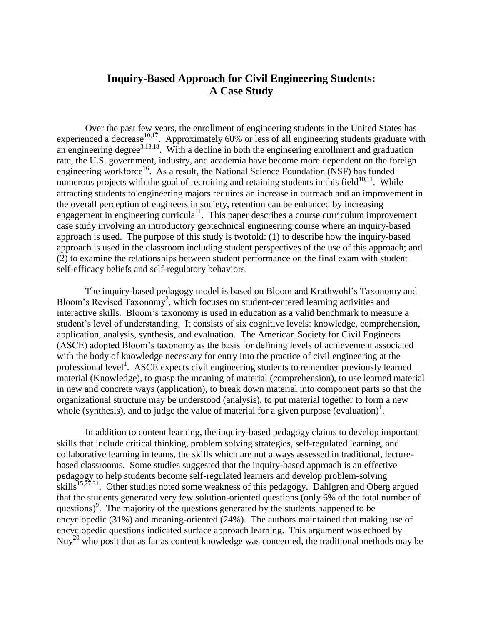# **Inquiry-Based Approach for Civil Engineering Students: A Case Study**

Over the past few years, the enrollment of engineering students in the United States has experienced a decrease  $10,17$ . Approximately 60% or less of all engineering students graduate with an engineering degree<sup>3,13,18</sup>. With a decline in both the engineering enrollment and graduation rate, the U.S. government, industry, and academia have become more dependent on the foreign engineering workforce<sup>16</sup>. As a result, the National Science Foundation (NSF) has funded numerous projects with the goal of recruiting and retaining students in this field $10,11$ . While attracting students to engineering majors requires an increase in outreach and an improvement in the overall perception of engineers in society, retention can be enhanced by increasing engagement in engineering curricula<sup>11</sup>. This paper describes a course curriculum improvement case study involving an introductory geotechnical engineering course where an inquiry-based approach is used. The purpose of this study is twofold: (1) to describe how the inquiry-based approach is used in the classroom including student perspectives of the use of this approach; and (2) to examine the relationships between student performance on the final exam with student self-efficacy beliefs and self-regulatory behaviors.

The inquiry-based pedagogy model is based on Bloom and Krathwohl's Taxonomy and Bloom's Revised Taxonomy<sup>2</sup>, which focuses on student-centered learning activities and interactive skills. Bloom's taxonomy is used in education as a valid benchmark to measure a student's level of understanding. It consists of six cognitive levels: knowledge, comprehension, application, analysis, synthesis, and evaluation. The American Society for Civil Engineers (ASCE) adopted Bloom's taxonomy as the basis for defining levels of achievement associated with the body of knowledge necessary for entry into the practice of civil engineering at the professional level<sup>1</sup>. ASCE expects civil engineering students to remember previously learned material (Knowledge), to grasp the meaning of material (comprehension), to use learned material in new and concrete ways (application), to break down material into component parts so that the organizational structure may be understood (analysis), to put material together to form a new whole (synthesis), and to judge the value of material for a given purpose (evaluation)<sup>1</sup>.

In addition to content learning, the inquiry-based pedagogy claims to develop important skills that include critical thinking, problem solving strategies, self-regulated learning, and collaborative learning in teams, the skills which are not always assessed in traditional, lecturebased classrooms. Some studies suggested that the inquiry-based approach is an effective pedagogy to help students become self-regulated learners and develop problem-solving skills<sup>15,27,31</sup>. Other studies noted some weakness of this pedagogy. Dahlgren and Oberg argued that the students generated very few solution-oriented questions (only 6% of the total number of questions) 9 . The majority of the questions generated by the students happened to be encyclopedic (31%) and meaning-oriented (24%). The authors maintained that making use of encyclopedic questions indicated surface approach learning. This argument was echoed by Nuy<sup>20</sup> who posit that as far as content knowledge was concerned, the traditional methods may be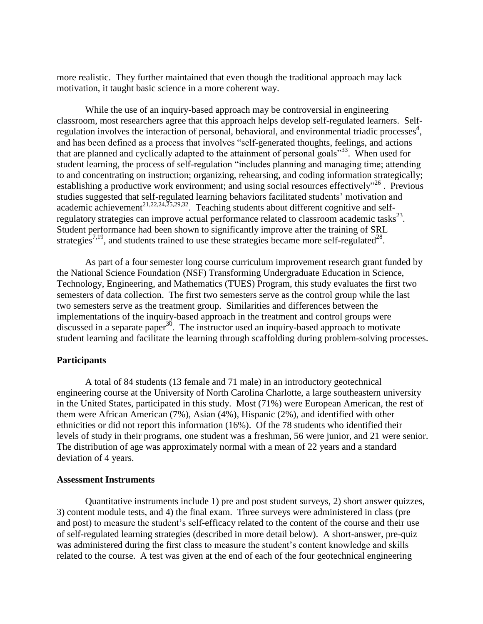more realistic. They further maintained that even though the traditional approach may lack motivation, it taught basic science in a more coherent way.

While the use of an inquiry-based approach may be controversial in engineering classroom, most researchers agree that this approach helps develop self-regulated learners. Selfregulation involves the interaction of personal, behavioral, and environmental triadic processes<sup>4</sup>, and has been defined as a process that involves "self-generated thoughts, feelings, and actions that are planned and cyclically adapted to the attainment of personal goals<sup>"33</sup>. When used for student learning, the process of self-regulation "includes planning and managing time; attending to and concentrating on instruction; organizing, rehearsing, and coding information strategically; establishing a productive work environment; and using social resources effectively"<sup>26</sup>. Previous studies suggested that self-regulated learning behaviors facilitated students' motivation and academic achievement<sup>21,22,24,25,29,32</sup>. Teaching students about different cognitive and selfregulatory strategies can improve actual performance related to classroom academic tasks<sup>23</sup>. Student performance had been shown to significantly improve after the training of SRL strategies<sup>7,19</sup>, and students trained to use these strategies became more self-regulated<sup>28</sup>.

As part of a four semester long course curriculum improvement research grant funded by the National Science Foundation (NSF) Transforming Undergraduate Education in Science, Technology, Engineering, and Mathematics (TUES) Program, this study evaluates the first two semesters of data collection. The first two semesters serve as the control group while the last two semesters serve as the treatment group. Similarities and differences between the implementations of the inquiry-based approach in the treatment and control groups were discussed in a separate paper<sup>30</sup>. The instructor used an inquiry-based approach to motivate student learning and facilitate the learning through scaffolding during problem-solving processes.

# **Participants**

A total of 84 students (13 female and 71 male) in an introductory geotechnical engineering course at the University of North Carolina Charlotte, a large southeastern university in the United States, participated in this study. Most (71%) were European American, the rest of them were African American (7%), Asian (4%), Hispanic (2%), and identified with other ethnicities or did not report this information (16%). Of the 78 students who identified their levels of study in their programs, one student was a freshman, 56 were junior, and 21 were senior. The distribution of age was approximately normal with a mean of 22 years and a standard deviation of 4 years.

# **Assessment Instruments**

Quantitative instruments include 1) pre and post student surveys, 2) short answer quizzes, 3) content module tests, and 4) the final exam. Three surveys were administered in class (pre and post) to measure the student's self-efficacy related to the content of the course and their use of self-regulated learning strategies (described in more detail below). A short-answer, pre-quiz was administered during the first class to measure the student's content knowledge and skills related to the course. A test was given at the end of each of the four geotechnical engineering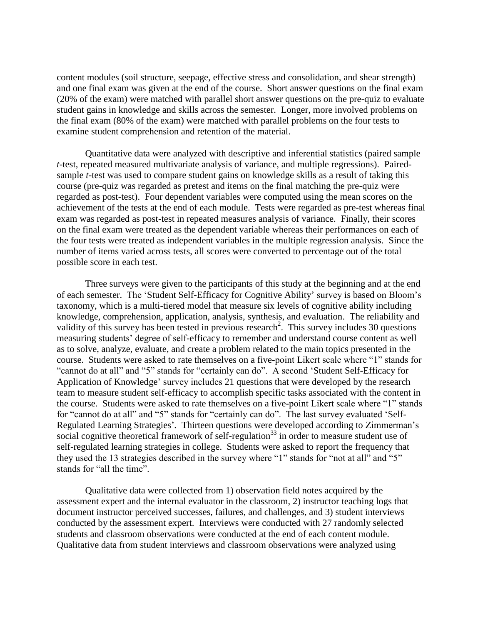content modules (soil structure, seepage, effective stress and consolidation, and shear strength) and one final exam was given at the end of the course. Short answer questions on the final exam (20% of the exam) were matched with parallel short answer questions on the pre-quiz to evaluate student gains in knowledge and skills across the semester. Longer, more involved problems on the final exam (80% of the exam) were matched with parallel problems on the four tests to examine student comprehension and retention of the material.

Quantitative data were analyzed with descriptive and inferential statistics (paired sample *t*-test, repeated measured multivariate analysis of variance, and multiple regressions). Pairedsample *t*-test was used to compare student gains on knowledge skills as a result of taking this course (pre-quiz was regarded as pretest and items on the final matching the pre-quiz were regarded as post-test). Four dependent variables were computed using the mean scores on the achievement of the tests at the end of each module. Tests were regarded as pre-test whereas final exam was regarded as post-test in repeated measures analysis of variance. Finally, their scores on the final exam were treated as the dependent variable whereas their performances on each of the four tests were treated as independent variables in the multiple regression analysis. Since the number of items varied across tests, all scores were converted to percentage out of the total possible score in each test.

Three surveys were given to the participants of this study at the beginning and at the end of each semester. The 'Student Self-Efficacy for Cognitive Ability' survey is based on Bloom's taxonomy, which is a multi-tiered model that measure six levels of cognitive ability including knowledge, comprehension, application, analysis, synthesis, and evaluation. The reliability and validity of this survey has been tested in previous research<sup>2</sup>. This survey includes 30 questions measuring students' degree of self-efficacy to remember and understand course content as well as to solve, analyze, evaluate, and create a problem related to the main topics presented in the course. Students were asked to rate themselves on a five-point Likert scale where "1" stands for "cannot do at all" and "5" stands for "certainly can do". A second 'Student Self-Efficacy for Application of Knowledge' survey includes 21 questions that were developed by the research team to measure student self-efficacy to accomplish specific tasks associated with the content in the course. Students were asked to rate themselves on a five-point Likert scale where "1" stands for "cannot do at all" and "5" stands for "certainly can do". The last survey evaluated 'Self-Regulated Learning Strategies'*.* Thirteen questions were developed according to Zimmerman's social cognitive theoretical framework of self-regulation<sup>33</sup> in order to measure student use of self-regulated learning strategies in college. Students were asked to report the frequency that they used the 13 strategies described in the survey where "1" stands for "not at all" and "5" stands for "all the time".

Qualitative data were collected from 1) observation field notes acquired by the assessment expert and the internal evaluator in the classroom, 2) instructor teaching logs that document instructor perceived successes, failures, and challenges, and 3) student interviews conducted by the assessment expert. Interviews were conducted with 27 randomly selected students and classroom observations were conducted at the end of each content module. Qualitative data from student interviews and classroom observations were analyzed using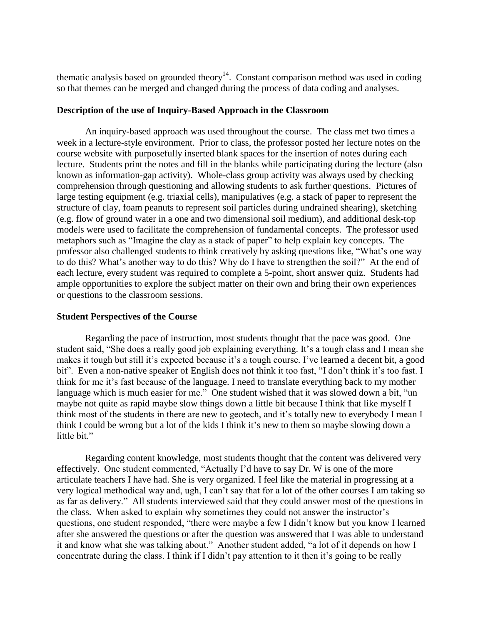thematic analysis based on grounded theory<sup>14</sup>. Constant comparison method was used in coding so that themes can be merged and changed during the process of data coding and analyses.

#### **Description of the use of Inquiry-Based Approach in the Classroom**

An inquiry-based approach was used throughout the course. The class met two times a week in a lecture-style environment. Prior to class, the professor posted her lecture notes on the course website with purposefully inserted blank spaces for the insertion of notes during each lecture. Students print the notes and fill in the blanks while participating during the lecture (also known as information-gap activity). Whole-class group activity was always used by checking comprehension through questioning and allowing students to ask further questions. Pictures of large testing equipment (e.g. triaxial cells), manipulatives (e.g. a stack of paper to represent the structure of clay, foam peanuts to represent soil particles during undrained shearing), sketching (e.g. flow of ground water in a one and two dimensional soil medium), and additional desk-top models were used to facilitate the comprehension of fundamental concepts. The professor used metaphors such as "Imagine the clay as a stack of paper" to help explain key concepts. The professor also challenged students to think creatively by asking questions like, "What's one way to do this? What's another way to do this? Why do I have to strengthen the soil?" At the end of each lecture, every student was required to complete a 5-point, short answer quiz. Students had ample opportunities to explore the subject matter on their own and bring their own experiences or questions to the classroom sessions.

# **Student Perspectives of the Course**

Regarding the pace of instruction, most students thought that the pace was good. One student said, "She does a really good job explaining everything. It's a tough class and I mean she makes it tough but still it's expected because it's a tough course. I've learned a decent bit, a good bit". Even a non-native speaker of English does not think it too fast, "I don't think it's too fast. I think for me it's fast because of the language. I need to translate everything back to my mother language which is much easier for me." One student wished that it was slowed down a bit, "un maybe not quite as rapid maybe slow things down a little bit because I think that like myself I think most of the students in there are new to geotech, and it's totally new to everybody I mean I think I could be wrong but a lot of the kids I think it's new to them so maybe slowing down a little bit."

Regarding content knowledge, most students thought that the content was delivered very effectively. One student commented, "Actually I'd have to say Dr. W is one of the more articulate teachers I have had. She is very organized. I feel like the material in progressing at a very logical methodical way and, ugh, I can't say that for a lot of the other courses I am taking so as far as delivery." All students interviewed said that they could answer most of the questions in the class. When asked to explain why sometimes they could not answer the instructor's questions, one student responded, "there were maybe a few I didn't know but you know I learned after she answered the questions or after the question was answered that I was able to understand it and know what she was talking about." Another student added, "a lot of it depends on how I concentrate during the class. I think if I didn't pay attention to it then it's going to be really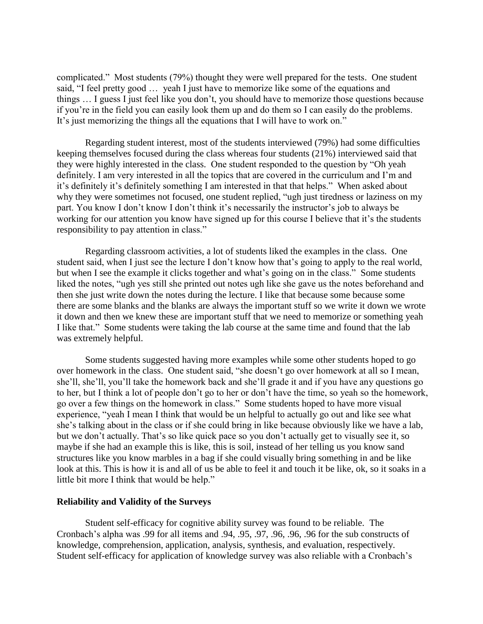complicated." Most students (79%) thought they were well prepared for the tests. One student said, "I feel pretty good … yeah I just have to memorize like some of the equations and things … I guess I just feel like you don't, you should have to memorize those questions because if you're in the field you can easily look them up and do them so I can easily do the problems. It's just memorizing the things all the equations that I will have to work on."

Regarding student interest, most of the students interviewed (79%) had some difficulties keeping themselves focused during the class whereas four students (21%) interviewed said that they were highly interested in the class. One student responded to the question by "Oh yeah definitely. I am very interested in all the topics that are covered in the curriculum and I'm and it's definitely it's definitely something I am interested in that that helps." When asked about why they were sometimes not focused, one student replied, "ugh just tiredness or laziness on my part. You know I don't know I don't think it's necessarily the instructor's job to always be working for our attention you know have signed up for this course I believe that it's the students responsibility to pay attention in class."

Regarding classroom activities, a lot of students liked the examples in the class. One student said, when I just see the lecture I don't know how that's going to apply to the real world, but when I see the example it clicks together and what's going on in the class." Some students liked the notes, "ugh yes still she printed out notes ugh like she gave us the notes beforehand and then she just write down the notes during the lecture. I like that because some because some there are some blanks and the blanks are always the important stuff so we write it down we wrote it down and then we knew these are important stuff that we need to memorize or something yeah I like that." Some students were taking the lab course at the same time and found that the lab was extremely helpful.

Some students suggested having more examples while some other students hoped to go over homework in the class. One student said, "she doesn't go over homework at all so I mean, she'll, she'll, you'll take the homework back and she'll grade it and if you have any questions go to her, but I think a lot of people don't go to her or don't have the time, so yeah so the homework, go over a few things on the homework in class." Some students hoped to have more visual experience, "yeah I mean I think that would be un helpful to actually go out and like see what she's talking about in the class or if she could bring in like because obviously like we have a lab, but we don't actually. That's so like quick pace so you don't actually get to visually see it, so maybe if she had an example this is like, this is soil, instead of her telling us you know sand structures like you know marbles in a bag if she could visually bring something in and be like look at this. This is how it is and all of us be able to feel it and touch it be like, ok, so it soaks in a little bit more I think that would be help."

# **Reliability and Validity of the Surveys**

Student self-efficacy for cognitive ability survey was found to be reliable. The Cronbach's alpha was .99 for all items and .94, .95, .97, .96, .96, .96 for the sub constructs of knowledge, comprehension, application, analysis, synthesis, and evaluation, respectively. Student self-efficacy for application of knowledge survey was also reliable with a Cronbach's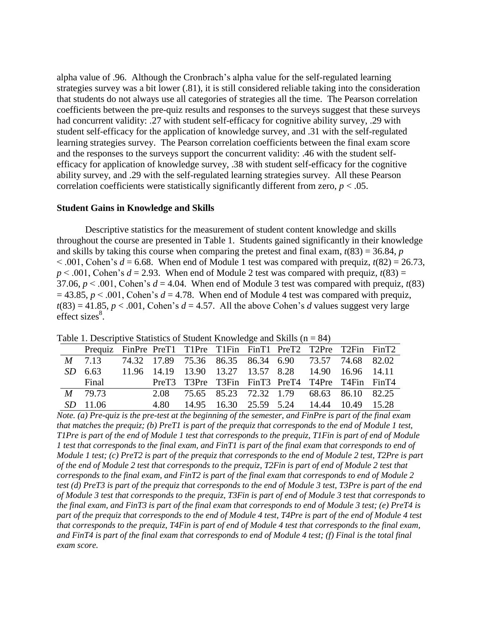alpha value of .96. Although the Cronbrach's alpha value for the self-regulated learning strategies survey was a bit lower (.81), it is still considered reliable taking into the consideration that students do not always use all categories of strategies all the time. The Pearson correlation coefficients between the pre-quiz results and responses to the surveys suggest that these surveys had concurrent validity: .27 with student self-efficacy for cognitive ability survey, .29 with student self-efficacy for the application of knowledge survey, and .31 with the self-regulated learning strategies survey. The Pearson correlation coefficients between the final exam score and the responses to the surveys support the concurrent validity: .46 with the student selfefficacy for application of knowledge survey, .38 with student self-efficacy for the cognitive ability survey, and .29 with the self-regulated learning strategies survey. All these Pearson correlation coefficients were statistically significantly different from zero,  $p < .05$ .

# **Student Gains in Knowledge and Skills**

Descriptive statistics for the measurement of student content knowledge and skills throughout the course are presented in Table 1. Students gained significantly in their knowledge and skills by taking this course when comparing the pretest and final exam,  $t(83) = 36.84$ , *p*  $< .001$ , Cohen's  $d = 6.68$ . When end of Module 1 test was compared with prequiz,  $t(82) = 26.73$ ,  $p < .001$ , Cohen's  $d = 2.93$ . When end of Module 2 test was compared with prequiz,  $t(83) =$ 37.06,  $p < .001$ , Cohen's  $d = 4.04$ . When end of Module 3 test was compared with prequiz,  $t(83)$  $= 43.85$ ,  $p < .001$ , Cohen's  $d = 4.78$ . When end of Module 4 test was compared with prequiz,  $t(83) = 41.85$ ,  $p < .001$ , Cohen's  $d = 4.57$ . All the above Cohen's *d* values suggest very large  $effect$  sizes $8$ .

| There is becompassed building of Bucastus Time when $\sum_{i=1}^{\infty}$ |                                                                |  |  |                                                      |  |  |  |  |  |
|---------------------------------------------------------------------------|----------------------------------------------------------------|--|--|------------------------------------------------------|--|--|--|--|--|
|                                                                           | Prequiz FinPre PreT1 T1Pre T1Fin FinT1 PreT2 T2Pre T2Fin FinT2 |  |  |                                                      |  |  |  |  |  |
|                                                                           | M 7.13 74.32 17.89 75.36 86.35 86.34 6.90 73.57 74.68 82.02    |  |  |                                                      |  |  |  |  |  |
|                                                                           | SD 6.63                                                        |  |  | 11.96 14.19 13.90 13.27 13.57 8.28 14.90 16.96 14.11 |  |  |  |  |  |
|                                                                           | Final                                                          |  |  | PreT3 T3Pre T3Fin FinT3 PreT4 T4Pre T4Fin FinT4      |  |  |  |  |  |
|                                                                           | M 79.73                                                        |  |  | 2.08 75.65 85.23 72.32 1.79 68.63 86.10 82.25        |  |  |  |  |  |
|                                                                           | $SD$ 11.06                                                     |  |  | 4.80 14.95 16.30 25.59 5.24 14.44 10.49 15.28        |  |  |  |  |  |

Table 1. Descriptive Statistics of Student Knowledge and Skills ( $n = 84$ )

*Note. (a) Pre-quiz is the pre-test at the beginning of the semester, and FinPre is part of the final exam that matches the prequiz; (b) PreT1 is part of the prequiz that corresponds to the end of Module 1 test, T1Pre is part of the end of Module 1 test that corresponds to the prequiz, T1Fin is part of end of Module 1 test that corresponds to the final exam, and FinT1 is part of the final exam that corresponds to end of Module 1 test; (c) PreT2 is part of the prequiz that corresponds to the end of Module 2 test, T2Pre is part of the end of Module 2 test that corresponds to the prequiz, T2Fin is part of end of Module 2 test that corresponds to the final exam, and FinT2 is part of the final exam that corresponds to end of Module 2 test (d) PreT3 is part of the prequiz that corresponds to the end of Module 3 test, T3Pre is part of the end of Module 3 test that corresponds to the prequiz, T3Fin is part of end of Module 3 test that corresponds to the final exam, and FinT3 is part of the final exam that corresponds to end of Module 3 test; (e) PreT4 is part of the prequiz that corresponds to the end of Module 4 test, T4Pre is part of the end of Module 4 test that corresponds to the prequiz, T4Fin is part of end of Module 4 test that corresponds to the final exam, and FinT4 is part of the final exam that corresponds to end of Module 4 test; (f) Final is the total final exam score.*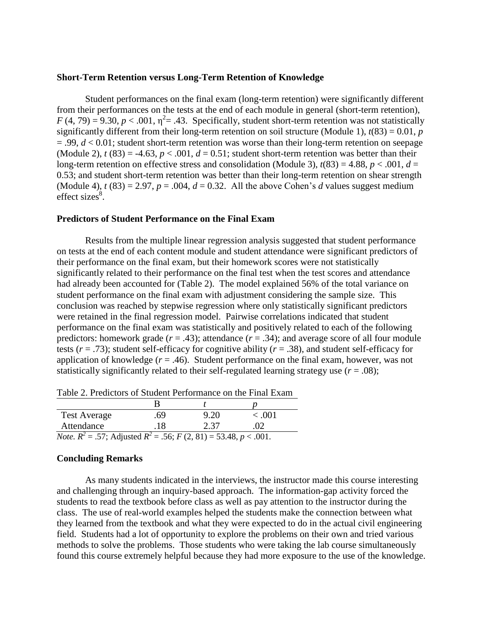#### **Short-Term Retention versus Long-Term Retention of Knowledge**

Student performances on the final exam (long-term retention) were significantly different from their performances on the tests at the end of each module in general (short-term retention),  $F(4, 79) = 9.30, p < .001, \eta^2 = .43$ . Specifically, student short-term retention was not statistically significantly different from their long-term retention on soil structure (Module 1),  $t(83) = 0.01$ , *p*  $= .99, d < 0.01$ ; student short-term retention was worse than their long-term retention on seepage (Module 2),  $t(83) = -4.63$ ,  $p < .001$ ,  $d = 0.51$ ; student short-term retention was better than their long-term retention on effective stress and consolidation (Module 3),  $t(83) = 4.88$ ,  $p < .001$ ,  $d =$ 0.53; and student short-term retention was better than their long-term retention on shear strength (Module 4),  $t(83) = 2.97$ ,  $p = .004$ ,  $d = 0.32$ . All the above Cohen's *d* values suggest medium effect sizes $\overset{8}{\ }$ .

#### **Predictors of Student Performance on the Final Exam**

Results from the multiple linear regression analysis suggested that student performance on tests at the end of each content module and student attendance were significant predictors of their performance on the final exam, but their homework scores were not statistically significantly related to their performance on the final test when the test scores and attendance had already been accounted for (Table 2). The model explained 56% of the total variance on student performance on the final exam with adjustment considering the sample size. This conclusion was reached by stepwise regression where only statistically significant predictors were retained in the final regression model. Pairwise correlations indicated that student performance on the final exam was statistically and positively related to each of the following predictors: homework grade  $(r = .43)$ ; attendance  $(r = .34)$ ; and average score of all four module tests ( $r = .73$ ); student self-efficacy for cognitive ability ( $r = .38$ ), and student self-efficacy for application of knowledge  $(r = .46)$ . Student performance on the final exam, however, was not statistically significantly related to their self-regulated learning strategy use  $(r = .08)$ ;

| <b>Test Average</b>                                                                 | .69. | 9.20 | < 0.001  |  |  |  |  |  |
|-------------------------------------------------------------------------------------|------|------|----------|--|--|--|--|--|
| Attendance                                                                          | .18  | 2.37 | $\Omega$ |  |  |  |  |  |
| <i>Note.</i> $R^2 = .57$ ; Adjusted $R^2 = .56$ ; $F(2, 81) = 53.48$ , $p < .001$ . |      |      |          |  |  |  |  |  |

Table 2. Predictors of Student Performance on the Final Exam

#### **Concluding Remarks**

As many students indicated in the interviews, the instructor made this course interesting and challenging through an inquiry-based approach. The information-gap activity forced the students to read the textbook before class as well as pay attention to the instructor during the class. The use of real-world examples helped the students make the connection between what they learned from the textbook and what they were expected to do in the actual civil engineering field. Students had a lot of opportunity to explore the problems on their own and tried various methods to solve the problems. Those students who were taking the lab course simultaneously found this course extremely helpful because they had more exposure to the use of the knowledge.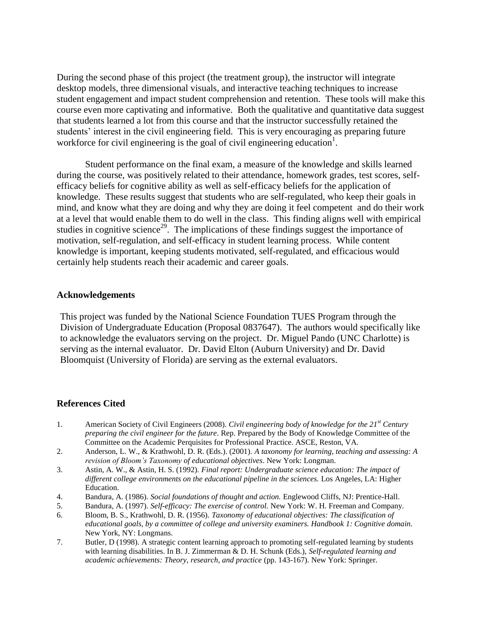During the second phase of this project (the treatment group), the instructor will integrate desktop models, three dimensional visuals, and interactive teaching techniques to increase student engagement and impact student comprehension and retention. These tools will make this course even more captivating and informative. Both the qualitative and quantitative data suggest that students learned a lot from this course and that the instructor successfully retained the students' interest in the civil engineering field. This is very encouraging as preparing future workforce for civil engineering is the goal of civil engineering education<sup>1</sup>.

Student performance on the final exam, a measure of the knowledge and skills learned during the course, was positively related to their attendance, homework grades, test scores, selfefficacy beliefs for cognitive ability as well as self-efficacy beliefs for the application of knowledge. These results suggest that students who are self-regulated, who keep their goals in mind, and know what they are doing and why they are doing it feel competent and do their work at a level that would enable them to do well in the class. This finding aligns well with empirical studies in cognitive science<sup>29</sup>. The implications of these findings suggest the importance of motivation, self-regulation, and self-efficacy in student learning process. While content knowledge is important, keeping students motivated, self-regulated, and efficacious would certainly help students reach their academic and career goals.

# **Acknowledgements**

This project was funded by the National Science Foundation TUES Program through the Division of Undergraduate Education (Proposal 0837647). The authors would specifically like to acknowledge the evaluators serving on the project. Dr. Miguel Pando (UNC Charlotte) is serving as the internal evaluator. Dr. David Elton (Auburn University) and Dr. David Bloomquist (University of Florida) are serving as the external evaluators.

# **References Cited**

- 1. American Society of Civil Engineers (2008). *Civil engineering body of knowledge for the 21st Century preparing the civil engineer for the future*. Rep. Prepared by the Body of Knowledge Committee of the Committee on the Academic Perquisites for Professional Practice. ASCE, Reston, VA.
- 2. Anderson, L. W., & Krathwohl, D. R. (Eds.). (2001). *A taxonomy for learning, teaching and assessing: A revision of Bloom's Taxonomy of educational objectives*. New York: Longman.
- 3. Astin, A. W., & Astin, H. S. (1992). *Final report: Undergraduate science education: The impact of*  different college environments on the educational pipeline in the sciences. Los Angeles, LA: Higher Education.
- 4. Bandura, A. (1986). *Social foundations of thought and action.* Englewood Cliffs, NJ: Prentice-Hall.
- 5. Bandura, A. (1997). *Self-efficacy: The exercise of control.* New York: W. H. Freeman and Company.
- 6. Bloom, B. S., Krathwohl, D. R. (1956). *Taxonomy of educational objectives: The classification of educational goals, by a committee of college and university examiners. Handbook 1: Cognitive domain.*  New York, NY: Longmans.
- 7. Butler, D (1998). A strategic content learning approach to promoting self-regulated learning by students with learning disabilities. In B. J. Zimmerman & D. H. Schunk (Eds.), *Self-regulated learning and academic achievements: Theory, research, and practice* (pp. 143-167)*.* New York: Springer.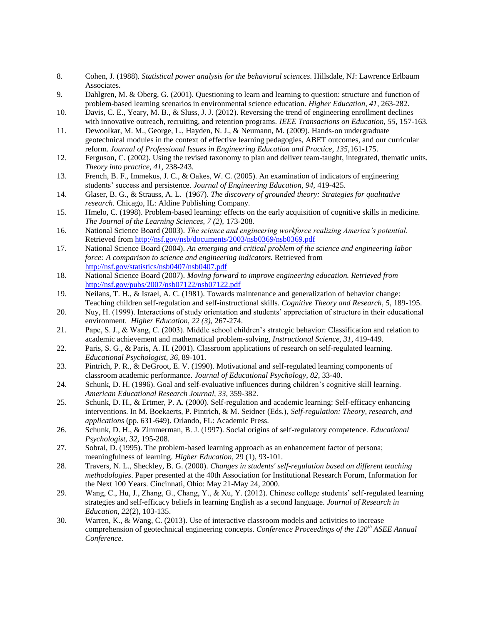- 8. Cohen, J. (1988). *Statistical power analysis for the behavioral sciences*. Hillsdale, NJ: Lawrence Erlbaum Associates.
- 9. Dahlgren, M. & Oberg, G. (2001). Questioning to learn and learning to question: structure and function of problem-based learning scenarios in environmental science education. *Higher Education, 41,* 263-282.
- 10. Davis, C. E., Yeary, M. B., & Sluss, J. J. (2012). Reversing the trend of engineering enrollment declines with innovative outreach, recruiting, and retention programs. *IEEE Transactions on Education, 55,* 157-163.
- 11. Dewoolkar, M. M., George, L., Hayden, N. J., & Neumann, M. (2009). Hands-on undergraduate geotechnical modules in the context of effective learning pedagogies, ABET outcomes, and our curricular reform. *Journal of Professional Issues in Engineering Education and Practice, 135,*161-175.
- 12. Ferguson, C. (2002). Using the revised taxonomy to plan and deliver team-taught, integrated, thematic units. *Theory into practice, 41,* 238-243.
- 13. French, B. F., Immekus, J. C., & Oakes, W. C. (2005). An examination of indicators of engineering students' success and persistence. *Journal of Engineering Education, 94,* 419-425.
- 14. Glaser, B. G., & Strauss, A. L. (1967). *The discovery of grounded theory: Strategies for qualitative research.* Chicago, IL: Aldine Publishing Company.
- 15. Hmelo, C. (1998). Problem-based learning: effects on the early acquisition of cognitive skills in medicine. *The Journal of the Learning Sciences, 7 (2),* 173-208*.*
- 16. National Science Board (2003). *The science and engineering workforce realizing America's potential.*  Retrieved from<http://nsf.gov/nsb/documents/2003/nsb0369/nsb0369.pdf>
- 17. National Science Board (2004). *An emerging and critical problem of the science and engineering labor force: A comparison to science and engineering indicators.* Retrieved from <http://nsf.gov/statistics/nsb0407/nsb0407.pdf>
- 18. National Science Board (2007). *Moving forward to improve engineering education. Retrieved from*  <http://nsf.gov/pubs/2007/nsb07122/nsb07122.pdf>
- 19. Neilans, T. H., & Israel, A. C. (1981). Towards maintenance and generalization of behavior change: Teaching children self-regulation and self-instructional skills. *Cognitive Theory and Research, 5,* 189-195.
- 20. Nuy, H. (1999). Interactions of study orientation and students' appreciation of structure in their educational environment. *Higher Education, 22 (3),* 267-274.
- 21. Pape, S. J., & Wang, C. (2003). Middle school children's strategic behavior: Classification and relation to academic achievement and mathematical problem-solving, *Instructional Science, 31*, 419-449*.*
- 22. Paris, S. G., & Paris, A. H. (2001). Classroom applications of research on self-regulated learning. *Educational Psychologist, 36,* 89-101.
- 23. Pintrich, P. R., & DeGroot, E. V. (1990). Motivational and self-regulated learning components of classroom academic performance. *Journal of Educational Psychology, 82*, 33-40.
- 24. Schunk, D. H. (1996). Goal and self-evaluative influences during children's cognitive skill learning. *American Educational Research Journal, 33,* 359-382.
- 25. Schunk, D. H., & Ertmer, P. A. (2000). Self-regulation and academic learning: Self-efficacy enhancing interventions. In M. Boekaerts, P. Pintrich, & M. Seidner (Eds.), *Self-regulation: Theory, research, and applications* (pp. 631-649). Orlando, FL: Academic Press.
- 26. Schunk, D. H., & Zimmerman, B. J. (1997). Social origins of self-regulatory competence. *Educational Psychologist, 32,* 195-208.
- 27. Sobral, D. (1995). The problem-based learning approach as an enhancement factor of persona; meaningfulness of learning. *Higher Education,* 29 (1), 93-101.
- 28. Travers, N. L., Sheckley, B. G. (2000). *Changes in students' self-regulation based on different teaching methodologies*. Paper presented at the 40th Association for Institutional Research Forum, Information for the Next 100 Years. Cincinnati, Ohio: May 21-May 24, 2000.
- 29. Wang, C., Hu, J., Zhang, G., Chang, Y., & Xu, Y. (2012). Chinese college students' self-regulated learning strategies and self-efficacy beliefs in learning English as a second language. *Journal of Research in Education, 22*(2), 103-135.
- 30. Warren, K., & Wang, C. (2013). Use of interactive classroom models and activities to increase comprehension of geotechnical engineering concepts. *Conference Proceedings of the 120th ASEE Annual Conference.*